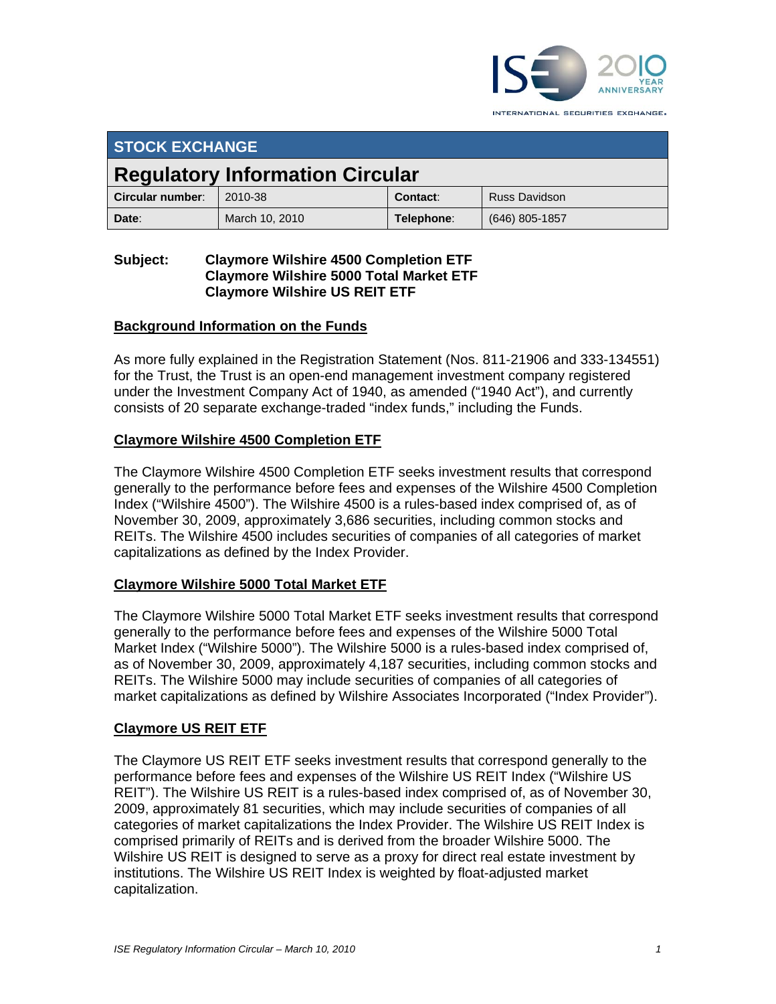

INTERNATIONAL SECURITIES EXCHANGE.

| <b>STOCK EXCHANGE</b>                  |                |            |                      |
|----------------------------------------|----------------|------------|----------------------|
| <b>Regulatory Information Circular</b> |                |            |                      |
| Circular number:                       | 2010-38        | Contact:   | <b>Russ Davidson</b> |
| Date:                                  | March 10, 2010 | Telephone: | (646) 805-1857       |

# **Subject: Claymore Wilshire 4500 Completion ETF Claymore Wilshire 5000 Total Market ETF Claymore Wilshire US REIT ETF**

## **Background Information on the Funds**

As more fully explained in the Registration Statement (Nos. 811-21906 and 333-134551) for the Trust, the Trust is an open-end management investment company registered under the Investment Company Act of 1940, as amended ("1940 Act"), and currently consists of 20 separate exchange-traded "index funds," including the Funds.

# **Claymore Wilshire 4500 Completion ETF**

The Claymore Wilshire 4500 Completion ETF seeks investment results that correspond generally to the performance before fees and expenses of the Wilshire 4500 Completion Index ("Wilshire 4500"). The Wilshire 4500 is a rules-based index comprised of, as of November 30, 2009, approximately 3,686 securities, including common stocks and REITs. The Wilshire 4500 includes securities of companies of all categories of market capitalizations as defined by the Index Provider.

## **Claymore Wilshire 5000 Total Market ETF**

The Claymore Wilshire 5000 Total Market ETF seeks investment results that correspond generally to the performance before fees and expenses of the Wilshire 5000 Total Market Index ("Wilshire 5000"). The Wilshire 5000 is a rules-based index comprised of, as of November 30, 2009, approximately 4,187 securities, including common stocks and REITs. The Wilshire 5000 may include securities of companies of all categories of market capitalizations as defined by Wilshire Associates Incorporated ("Index Provider").

## **Claymore US REIT ETF**

The Claymore US REIT ETF seeks investment results that correspond generally to the performance before fees and expenses of the Wilshire US REIT Index ("Wilshire US REIT"). The Wilshire US REIT is a rules-based index comprised of, as of November 30, 2009, approximately 81 securities, which may include securities of companies of all categories of market capitalizations the Index Provider. The Wilshire US REIT Index is comprised primarily of REITs and is derived from the broader Wilshire 5000. The Wilshire US REIT is designed to serve as a proxy for direct real estate investment by institutions. The Wilshire US REIT Index is weighted by float-adjusted market capitalization.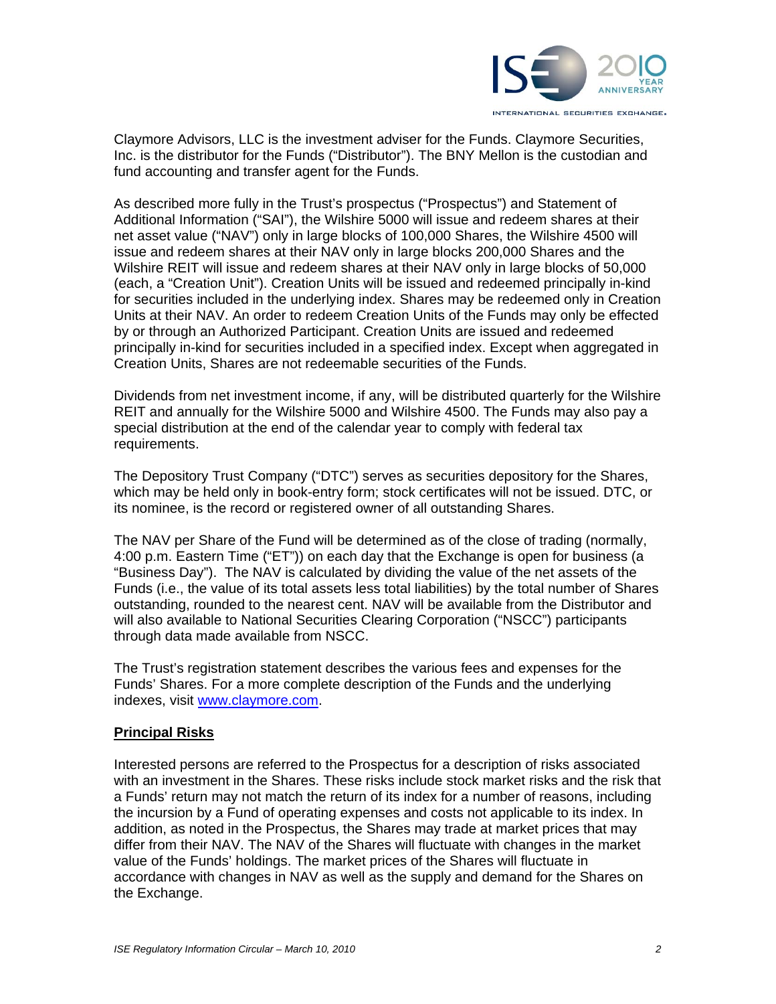

Claymore Advisors, LLC is the investment adviser for the Funds. Claymore Securities, Inc. is the distributor for the Funds ("Distributor"). The BNY Mellon is the custodian and fund accounting and transfer agent for the Funds.

As described more fully in the Trust's prospectus ("Prospectus") and Statement of Additional Information ("SAI"), the Wilshire 5000 will issue and redeem shares at their net asset value ("NAV") only in large blocks of 100,000 Shares, the Wilshire 4500 will issue and redeem shares at their NAV only in large blocks 200,000 Shares and the Wilshire REIT will issue and redeem shares at their NAV only in large blocks of 50,000 (each, a "Creation Unit"). Creation Units will be issued and redeemed principally in-kind for securities included in the underlying index. Shares may be redeemed only in Creation Units at their NAV. An order to redeem Creation Units of the Funds may only be effected by or through an Authorized Participant. Creation Units are issued and redeemed principally in-kind for securities included in a specified index. Except when aggregated in Creation Units, Shares are not redeemable securities of the Funds.

Dividends from net investment income, if any, will be distributed quarterly for the Wilshire REIT and annually for the Wilshire 5000 and Wilshire 4500. The Funds may also pay a special distribution at the end of the calendar year to comply with federal tax requirements.

The Depository Trust Company ("DTC") serves as securities depository for the Shares, which may be held only in book-entry form; stock certificates will not be issued. DTC, or its nominee, is the record or registered owner of all outstanding Shares.

The NAV per Share of the Fund will be determined as of the close of trading (normally, 4:00 p.m. Eastern Time ("ET")) on each day that the Exchange is open for business (a "Business Day"). The NAV is calculated by dividing the value of the net assets of the Funds (i.e., the value of its total assets less total liabilities) by the total number of Shares outstanding, rounded to the nearest cent. NAV will be available from the Distributor and will also available to National Securities Clearing Corporation ("NSCC") participants through data made available from NSCC.

The Trust's registration statement describes the various fees and expenses for the Funds' Shares. For a more complete description of the Funds and the underlying indexes, visit www.claymore.com.

## **Principal Risks**

Interested persons are referred to the Prospectus for a description of risks associated with an investment in the Shares. These risks include stock market risks and the risk that a Funds' return may not match the return of its index for a number of reasons, including the incursion by a Fund of operating expenses and costs not applicable to its index. In addition, as noted in the Prospectus, the Shares may trade at market prices that may differ from their NAV. The NAV of the Shares will fluctuate with changes in the market value of the Funds' holdings. The market prices of the Shares will fluctuate in accordance with changes in NAV as well as the supply and demand for the Shares on the Exchange.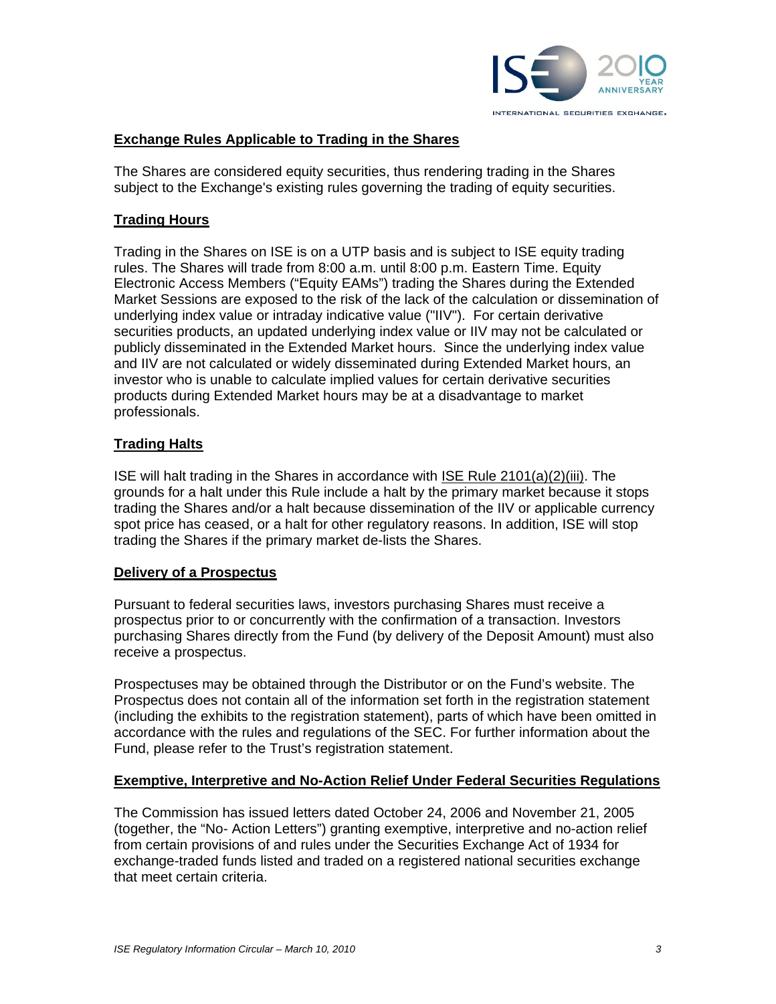

## **Exchange Rules Applicable to Trading in the Shares**

The Shares are considered equity securities, thus rendering trading in the Shares subject to the Exchange's existing rules governing the trading of equity securities.

#### **Trading Hours**

Trading in the Shares on ISE is on a UTP basis and is subject to ISE equity trading rules. The Shares will trade from 8:00 a.m. until 8:00 p.m. Eastern Time. Equity Electronic Access Members ("Equity EAMs") trading the Shares during the Extended Market Sessions are exposed to the risk of the lack of the calculation or dissemination of underlying index value or intraday indicative value ("IIV"). For certain derivative securities products, an updated underlying index value or IIV may not be calculated or publicly disseminated in the Extended Market hours. Since the underlying index value and IIV are not calculated or widely disseminated during Extended Market hours, an investor who is unable to calculate implied values for certain derivative securities products during Extended Market hours may be at a disadvantage to market professionals.

### **Trading Halts**

ISE will halt trading in the Shares in accordance with ISE Rule 2101(a)(2)(iii). The grounds for a halt under this Rule include a halt by the primary market because it stops trading the Shares and/or a halt because dissemination of the IIV or applicable currency spot price has ceased, or a halt for other regulatory reasons. In addition, ISE will stop trading the Shares if the primary market de-lists the Shares.

#### **Delivery of a Prospectus**

Pursuant to federal securities laws, investors purchasing Shares must receive a prospectus prior to or concurrently with the confirmation of a transaction. Investors purchasing Shares directly from the Fund (by delivery of the Deposit Amount) must also receive a prospectus.

Prospectuses may be obtained through the Distributor or on the Fund's website. The Prospectus does not contain all of the information set forth in the registration statement (including the exhibits to the registration statement), parts of which have been omitted in accordance with the rules and regulations of the SEC. For further information about the Fund, please refer to the Trust's registration statement.

#### **Exemptive, Interpretive and No-Action Relief Under Federal Securities Regulations**

The Commission has issued letters dated October 24, 2006 and November 21, 2005 (together, the "No- Action Letters") granting exemptive, interpretive and no-action relief from certain provisions of and rules under the Securities Exchange Act of 1934 for exchange-traded funds listed and traded on a registered national securities exchange that meet certain criteria.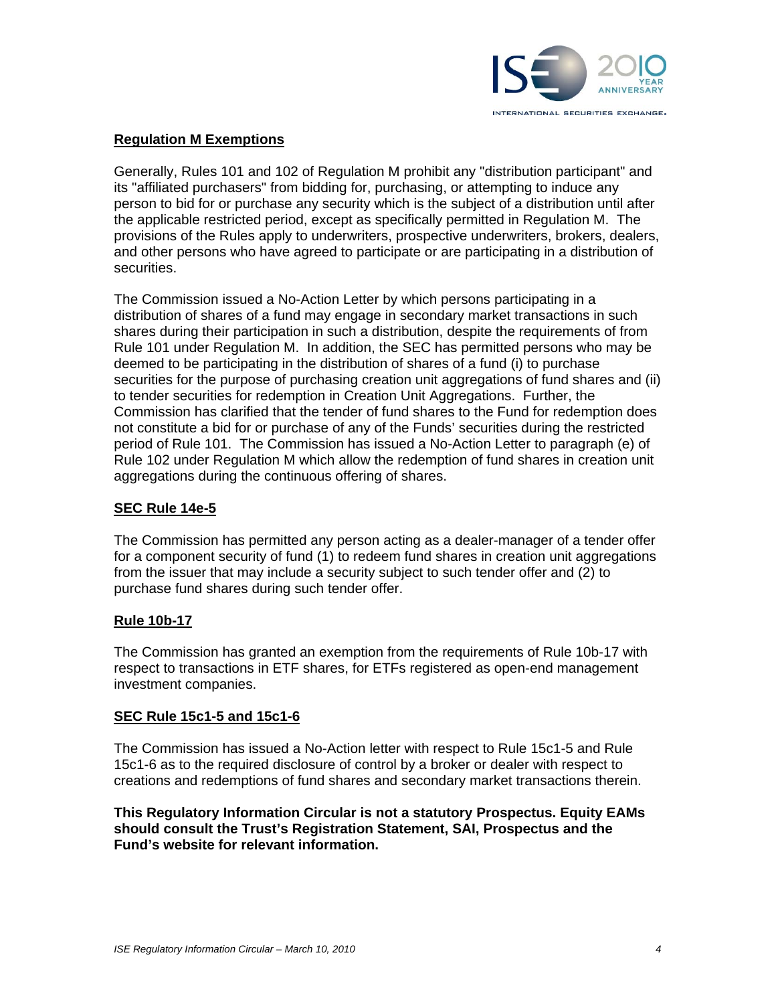

# **Regulation M Exemptions**

Generally, Rules 101 and 102 of Regulation M prohibit any "distribution participant" and its "affiliated purchasers" from bidding for, purchasing, or attempting to induce any person to bid for or purchase any security which is the subject of a distribution until after the applicable restricted period, except as specifically permitted in Regulation M. The provisions of the Rules apply to underwriters, prospective underwriters, brokers, dealers, and other persons who have agreed to participate or are participating in a distribution of securities.

The Commission issued a No-Action Letter by which persons participating in a distribution of shares of a fund may engage in secondary market transactions in such shares during their participation in such a distribution, despite the requirements of from Rule 101 under Regulation M. In addition, the SEC has permitted persons who may be deemed to be participating in the distribution of shares of a fund (i) to purchase securities for the purpose of purchasing creation unit aggregations of fund shares and (ii) to tender securities for redemption in Creation Unit Aggregations. Further, the Commission has clarified that the tender of fund shares to the Fund for redemption does not constitute a bid for or purchase of any of the Funds' securities during the restricted period of Rule 101. The Commission has issued a No-Action Letter to paragraph (e) of Rule 102 under Regulation M which allow the redemption of fund shares in creation unit aggregations during the continuous offering of shares.

## **SEC Rule 14e-5**

The Commission has permitted any person acting as a dealer-manager of a tender offer for a component security of fund (1) to redeem fund shares in creation unit aggregations from the issuer that may include a security subject to such tender offer and (2) to purchase fund shares during such tender offer.

#### **Rule 10b-17**

The Commission has granted an exemption from the requirements of Rule 10b-17 with respect to transactions in ETF shares, for ETFs registered as open-end management investment companies.

#### **SEC Rule 15c1-5 and 15c1-6**

The Commission has issued a No-Action letter with respect to Rule 15c1-5 and Rule 15c1-6 as to the required disclosure of control by a broker or dealer with respect to creations and redemptions of fund shares and secondary market transactions therein.

**This Regulatory Information Circular is not a statutory Prospectus. Equity EAMs should consult the Trust's Registration Statement, SAI, Prospectus and the Fund's website for relevant information.**